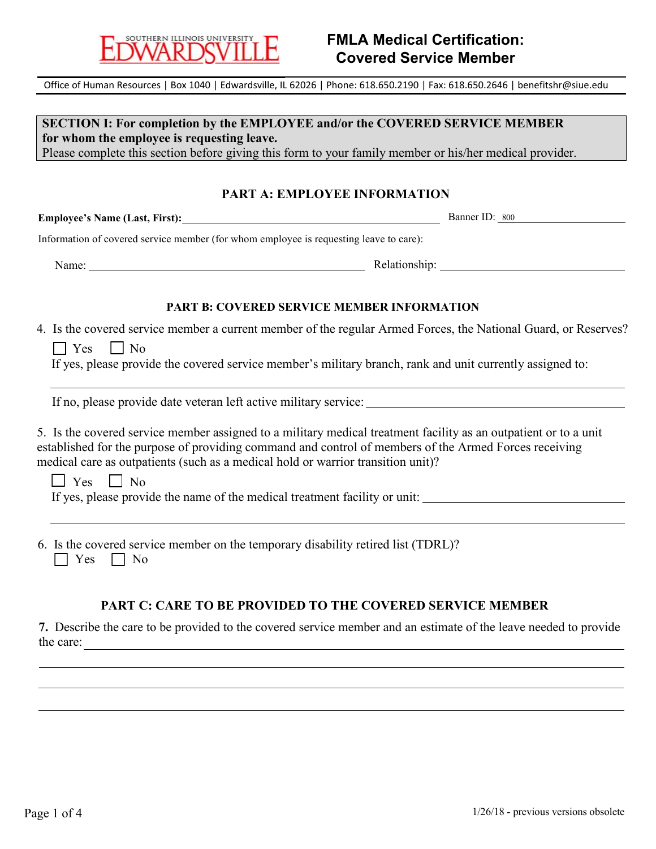

# **FMLA Medical Certification: Covered Service Member**

Office of Human Resources | Box 1040 | Edwardsville, IL 62026 | Phone: 618.650.2190 | Fax: 618.650.2646 | benefitshr@siue.edu

**SECTION I: For completion by the EMPLOYEE and/or the COVERED SERVICE MEMBER for whom the employee is requesting leave.** Please complete this section before giving this form to your family member or his/her medical provider.

#### **PART A: EMPLOYEE INFORMATION**

**Employee's Name (Last, First):** Banner ID: 800

Information of covered service member (for whom employee is requesting leave to care):

Name: Relationship:

#### **PART B: COVERED SERVICE MEMBER INFORMATION**

4. Is the covered service member a current member of the regular Armed Forces, the National Guard, or Reserves?

 $\Box$  Yes  $\Box$  No

If yes, please provide the covered service member's military branch, rank and unit currently assigned to:

If no, please provide date veteran left active military service:

5. Is the covered service member assigned to a military medical treatment facility as an outpatient or to a unit established for the purpose of providing command and control of members of the Armed Forces receiving medical care as outpatients (such as a medical hold or warrior transition unit)?

 $\Box$  Yes  $\Box$  No

If yes, please provide the name of the medical treatment facility or unit:

6. Is the covered service member on the temporary disability retired list (TDRL)?  $\Box$  Yes  $\Box$  No

#### **PART C: CARE TO BE PROVIDED TO THE COVERED SERVICE MEMBER**

**7.** Describe the care to be provided to the covered service member and an estimate of the leave needed to provide the care: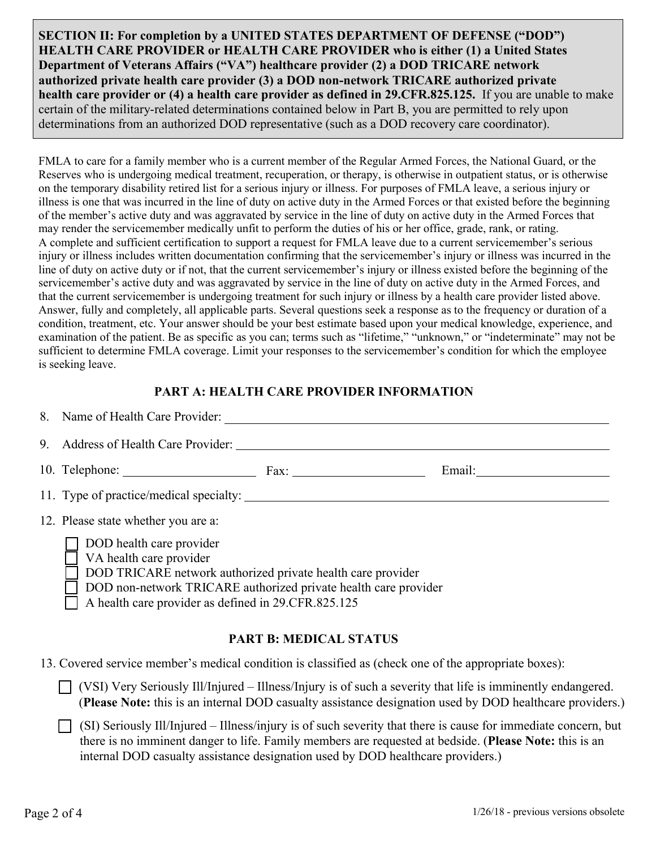**SECTION II: For completion by a UNITED STATES DEPARTMENT OF DEFENSE ("DOD") HEALTH CARE PROVIDER or HEALTH CARE PROVIDER who is either (1) a United States Department of Veterans Affairs ("VA") healthcare provider (2) a DOD TRICARE network authorized private health care provider (3) a DOD non-network TRICARE authorized private health care provider or (4) a health care provider as defined in 29.CFR.825.125.** If you are unable to make certain of the military-related determinations contained below in Part B, you are permitted to rely upon determinations from an authorized DOD representative (such as a DOD recovery care coordinator).

FMLA to care for a family member who is a current member of the Regular Armed Forces, the National Guard, or the Reserves who is undergoing medical treatment, recuperation, or therapy, is otherwise in outpatient status, or is otherwise on the temporary disability retired list for a serious injury or illness. For purposes of FMLA leave, a serious injury or illness is one that was incurred in the line of duty on active duty in the Armed Forces or that existed before the beginning of the member's active duty and was aggravated by service in the line of duty on active duty in the Armed Forces that may render the servicemember medically unfit to perform the duties of his or her office, grade, rank, or rating. A complete and sufficient certification to support a request for FMLA leave due to a current servicemember's serious injury or illness includes written documentation confirming that the servicemember's injury or illness was incurred in the line of duty on active duty or if not, that the current servicemember's injury or illness existed before the beginning of the servicemember's active duty and was aggravated by service in the line of duty on active duty in the Armed Forces, and that the current servicemember is undergoing treatment for such injury or illness by a health care provider listed above. Answer, fully and completely, all applicable parts. Several questions seek a response as to the frequency or duration of a condition, treatment, etc. Your answer should be your best estimate based upon your medical knowledge, experience, and examination of the patient. Be as specific as you can; terms such as "lifetime," "unknown," or "indeterminate" may not be sufficient to determine FMLA coverage. Limit your responses to the servicemember's condition for which the employee is seeking leave.

### **PART A: HEALTH CARE PROVIDER INFORMATION**

|                                                                                                       | 8. Name of Health Care Provider:                                                                                                                                                                                                             |  |  |  |  |  |
|-------------------------------------------------------------------------------------------------------|----------------------------------------------------------------------------------------------------------------------------------------------------------------------------------------------------------------------------------------------|--|--|--|--|--|
|                                                                                                       | 9. Address of Health Care Provider:                                                                                                                                                                                                          |  |  |  |  |  |
|                                                                                                       | 10. Telephone: Fax:                                                                                                                                                                                                                          |  |  |  |  |  |
|                                                                                                       | 11. Type of practice/medical specialty:                                                                                                                                                                                                      |  |  |  |  |  |
|                                                                                                       | 12. Please state whether you are a:                                                                                                                                                                                                          |  |  |  |  |  |
|                                                                                                       | DOD health care provider<br>VA health care provider<br>DOD TRICARE network authorized private health care provider<br>DOD non-network TRICARE authorized private health care provider<br>A health care provider as defined in 29.CFR.825.125 |  |  |  |  |  |
| <b>PART B: MEDICAL STATUS</b>                                                                         |                                                                                                                                                                                                                                              |  |  |  |  |  |
| 13. Covered service member's medical condition is classified as (check one of the appropriate boxes): |                                                                                                                                                                                                                                              |  |  |  |  |  |

 $\Box$  (VSI) Very Seriously Ill/Injured – Illness/Injury is of such a severity that life is imminently endangered. (**Please Note:** this is an internal DOD casualty assistance designation used by DOD healthcare providers.)

 $\Box$  (SI) Seriously Ill/Injured – Illness/injury is of such severity that there is cause for immediate concern, but there is no imminent danger to life. Family members are requested at bedside. (**Please Note:** this is an internal DOD casualty assistance designation used by DOD healthcare providers.)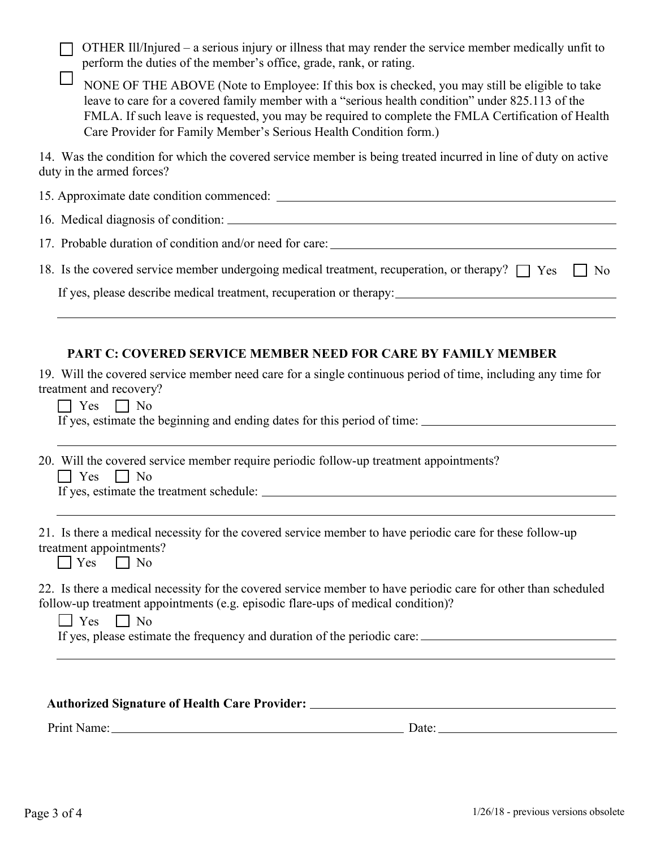$\Box$  OTHER Ill/Injured – a serious injury or illness that may render the service member medically unfit to perform the duties of the member's office, grade, rank, or rating.

 $\Box$  NONE OF THE ABOVE (Note to Employee: If this box is checked, you may still be eligible to take leave to care for a covered family member with a "serious health condition" under 825.113 of the FMLA. If such leave is requested, you may be required to complete the FMLA Certification of Health Care Provider for Family Member's Serious Health Condition form.)

14. Was the condition for which the covered service member is being treated incurred in line of duty on active duty in the armed forces?

| 17. Probable duration of condition and/or need for care:                                                       |  |
|----------------------------------------------------------------------------------------------------------------|--|
| 18. Is the covered service member undergoing medical treatment, recuperation, or therapy? $\Box$ Yes $\Box$ No |  |
| If yes, please describe medical treatment, recuperation or therapy:                                            |  |
|                                                                                                                |  |

## **PART C: COVERED SERVICE MEMBER NEED FOR CARE BY FAMILY MEMBER**

19. Will the covered service member need care for a single continuous period of time, including any time for treatment and recovery?

 $\Box$  Yes  $\Box$  No

If yes, estimate the beginning and ending dates for this period of time:

20. Will the covered service member require periodic follow-up treatment appointments?

 $\Box$  Yes  $\Box$  No

If yes, estimate the treatment schedule:

| 21. Is there a medical necessity for the covered service member to have periodic care for these follow-up |  |
|-----------------------------------------------------------------------------------------------------------|--|
| treatment appointments?                                                                                   |  |

 $\Box$  No Yes

22. Is there a medical necessity for the covered service member to have periodic care for other than scheduled follow-up treatment appointments (e.g. episodic flare-ups of medical condition)?

 $\Box$  Yes  $\Box$  No

If yes, please estimate the frequency and duration of the periodic care:

### **Authorized Signature of Health Care Provider:**

Print Name: Date: Date: